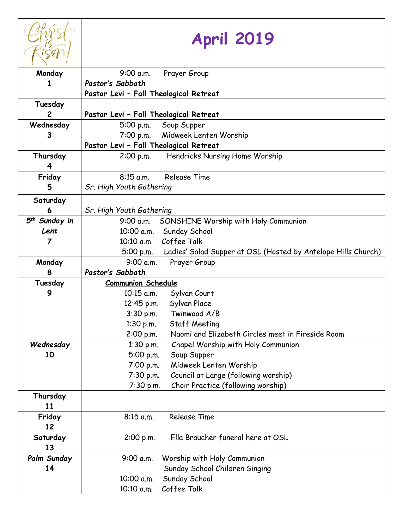|                           | <b>April 2019</b>                                                          |  |  |
|---------------------------|----------------------------------------------------------------------------|--|--|
| Monday                    | 9:00 a.m.<br>Prayer Group                                                  |  |  |
| 1                         | Pastor's Sabbath                                                           |  |  |
|                           | Pastor Levi - Fall Theological Retreat                                     |  |  |
| Tuesday                   |                                                                            |  |  |
| $\mathbf{2}$              | Pastor Levi - Fall Theological Retreat                                     |  |  |
| Wednesday                 | 5:00 p.m.<br>Soup Supper                                                   |  |  |
| 3                         | 7:00 p.m. Midweek Lenten Worship                                           |  |  |
|                           | Pastor Levi - Fall Theological Retreat                                     |  |  |
| Thursday                  | Hendricks Nursing Home Worship<br>$2:00$ p.m.                              |  |  |
| 4                         |                                                                            |  |  |
| Friday                    | <b>Release Time</b><br>$8:15$ a.m.                                         |  |  |
| 5                         | Sr. High Youth Gathering                                                   |  |  |
| Saturday                  |                                                                            |  |  |
| 6                         | Sr. High Youth Gathering                                                   |  |  |
| 5 <sup>th</sup> Sunday in | SONSHINE Worship with Holy Communion<br>9:00 a.m.                          |  |  |
| Lent                      | 10:00 a.m. Sunday School                                                   |  |  |
| 7                         | 10:10 a.m. Coffee Talk                                                     |  |  |
|                           | Ladies' Salad Supper at OSL (Hosted by Antelope Hills Church)<br>5:00 p.m. |  |  |
| Monday                    | 9:00 a.m.<br>Prayer Group                                                  |  |  |
| 8                         | Pastor's Sabbath                                                           |  |  |
| Tuesday                   | <b>Communion Schedule</b>                                                  |  |  |
| 9                         | $10:15$ a.m.<br>Sylvan Court                                               |  |  |
|                           | 12:45 p.m. Sylvan Place                                                    |  |  |
|                           | 3:30 p.m.<br>Twinwood A/B                                                  |  |  |
|                           | $1:30$ p.m.<br><b>Staff Meeting</b>                                        |  |  |
|                           | Naomi and Elizabeth Circles meet in Fireside Room<br>2:00 p.m.             |  |  |
| Wednesday                 | Chapel Worship with Holy Communion<br>$1:30$ p.m.                          |  |  |
| 10                        | 5:00 p.m.<br>Soup Supper                                                   |  |  |
|                           | Midweek Lenten Worship<br>7:00 p.m.                                        |  |  |
|                           | Council at Large (following worship)<br>7:30 p.m.                          |  |  |
|                           | Choir Practice (following worship)<br>7:30 p.m.                            |  |  |
| Thursday                  |                                                                            |  |  |
| 11                        |                                                                            |  |  |
| Friday                    | <b>Release Time</b><br>$8:15$ a.m.                                         |  |  |
| 12                        |                                                                            |  |  |
| Saturday                  | Ella Braucher funeral here at OSL<br>2:00 p.m.                             |  |  |
| 13                        |                                                                            |  |  |
| Palm Sunday               | Worship with Holy Communion<br>9:00 a.m.                                   |  |  |
| 14                        | Sunday School Children Singing                                             |  |  |
|                           | Sunday School<br>10:00 a.m.                                                |  |  |
|                           | Coffee Talk<br>10:10 a.m.                                                  |  |  |